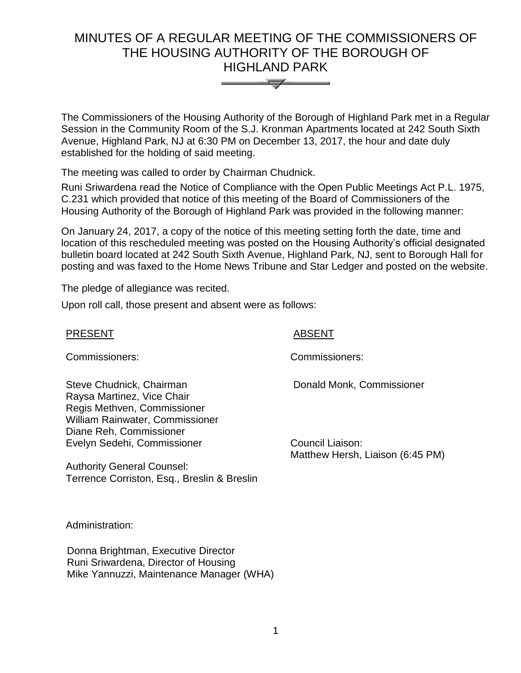# MINUTES OF A REGULAR MEETING OF THE COMMISSIONERS OF THE HOUSING AUTHORITY OF THE BOROUGH OF HIGHLAND PARK



The Commissioners of the Housing Authority of the Borough of Highland Park met in a Regular Session in the Community Room of the S.J. Kronman Apartments located at 242 South Sixth Avenue, Highland Park, NJ at 6:30 PM on December 13, 2017, the hour and date duly established for the holding of said meeting.

The meeting was called to order by Chairman Chudnick.

Runi Sriwardena read the Notice of Compliance with the Open Public Meetings Act P.L. 1975, C.231 which provided that notice of this meeting of the Board of Commissioners of the Housing Authority of the Borough of Highland Park was provided in the following manner:

On January 24, 2017, a copy of the notice of this meeting setting forth the date, time and location of this rescheduled meeting was posted on the Housing Authority's official designated bulletin board located at 242 South Sixth Avenue, Highland Park, NJ, sent to Borough Hall for posting and was faxed to the Home News Tribune and Star Ledger and posted on the website.

The pledge of allegiance was recited.

Upon roll call, those present and absent were as follows:

### PRESENT ABSENT

Commissioners: Commissioners:

Steve Chudnick, Chairman Raysa Martinez, Vice Chair Regis Methven, Commissioner William Rainwater, Commissioner Diane Reh, Commissioner Evelyn Sedehi, Commissioner

Authority General Counsel: Terrence Corriston, Esq., Breslin & Breslin

Donald Monk, Commissioner

Council Liaison: Matthew Hersh, Liaison (6:45 PM)

Administration:

 Donna Brightman, Executive Director Runi Sriwardena, Director of Housing Mike Yannuzzi, Maintenance Manager (WHA)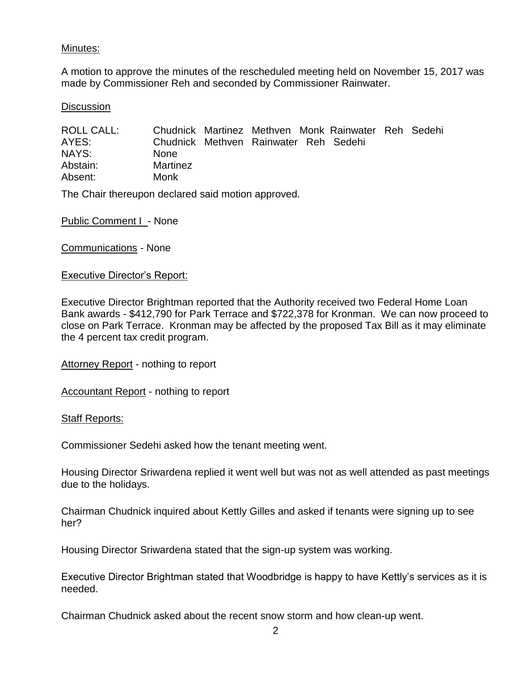# Minutes:

A motion to approve the minutes of the rescheduled meeting held on November 15, 2017 was made by Commissioner Reh and seconded by Commissioner Rainwater.

#### **Discussion**

ROLL CALL: Chudnick Martinez Methven Monk Rainwater Reh Sedehi AYES: Chudnick Methven Rainwater Reh Sedehi NAYS: None Abstain: Martinez Absent: Monk

The Chair thereupon declared said motion approved.

Public Comment I - None

Communications - None

#### Executive Director's Report:

Executive Director Brightman reported that the Authority received two Federal Home Loan Bank awards - \$412,790 for Park Terrace and \$722,378 for Kronman. We can now proceed to close on Park Terrace. Kronman may be affected by the proposed Tax Bill as it may eliminate the 4 percent tax credit program.

Attorney Report - nothing to report

**Accountant Report - nothing to report** 

Staff Reports:

Commissioner Sedehi asked how the tenant meeting went.

Housing Director Sriwardena replied it went well but was not as well attended as past meetings due to the holidays.

Chairman Chudnick inquired about Kettly Gilles and asked if tenants were signing up to see her?

Housing Director Sriwardena stated that the sign-up system was working.

Executive Director Brightman stated that Woodbridge is happy to have Kettly's services as it is needed.

Chairman Chudnick asked about the recent snow storm and how clean-up went.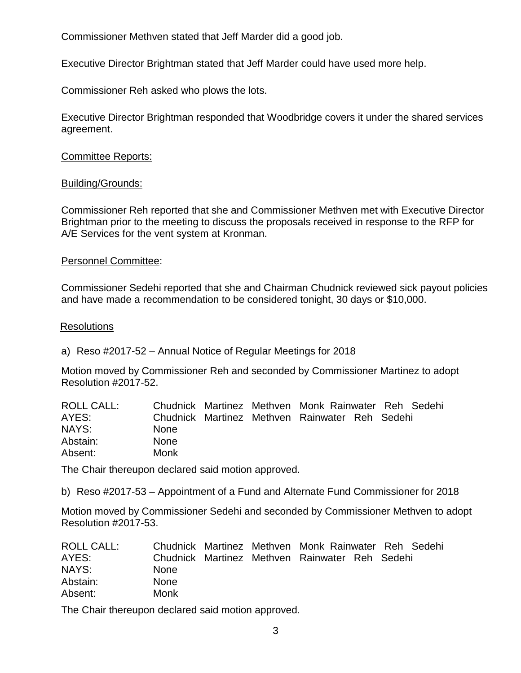Commissioner Methven stated that Jeff Marder did a good job.

Executive Director Brightman stated that Jeff Marder could have used more help.

Commissioner Reh asked who plows the lots.

Executive Director Brightman responded that Woodbridge covers it under the shared services agreement.

### Committee Reports:

### Building/Grounds:

Commissioner Reh reported that she and Commissioner Methven met with Executive Director Brightman prior to the meeting to discuss the proposals received in response to the RFP for A/E Services for the vent system at Kronman.

### Personnel Committee:

Commissioner Sedehi reported that she and Chairman Chudnick reviewed sick payout policies and have made a recommendation to be considered tonight, 30 days or \$10,000.

### **Resolutions**

a) Reso #2017-52 – Annual Notice of Regular Meetings for 2018

Motion moved by Commissioner Reh and seconded by Commissioner Martinez to adopt Resolution #2017-52.

| ROLL CALL: |             |  | Chudnick Martinez Methven Monk Rainwater Reh Sedehi |  |  |
|------------|-------------|--|-----------------------------------------------------|--|--|
| AYES:      |             |  | Chudnick Martinez Methven Rainwater Reh Sedehi      |  |  |
| NAYS:      | <b>None</b> |  |                                                     |  |  |
| Abstain:   | <b>None</b> |  |                                                     |  |  |
| Absent:    | Monk        |  |                                                     |  |  |

The Chair thereupon declared said motion approved.

b) Reso #2017-53 – Appointment of a Fund and Alternate Fund Commissioner for 2018

Motion moved by Commissioner Sedehi and seconded by Commissioner Methven to adopt Resolution #2017-53.

| ROLL CALL: |             |  | Chudnick Martinez Methven Monk Rainwater Reh Sedehi |  |  |
|------------|-------------|--|-----------------------------------------------------|--|--|
| AYES:      |             |  | Chudnick Martinez Methven Rainwater Reh Sedehi      |  |  |
| NAYS:      | <b>None</b> |  |                                                     |  |  |
| Abstain:   | <b>None</b> |  |                                                     |  |  |
| Absent:    | Monk        |  |                                                     |  |  |

The Chair thereupon declared said motion approved.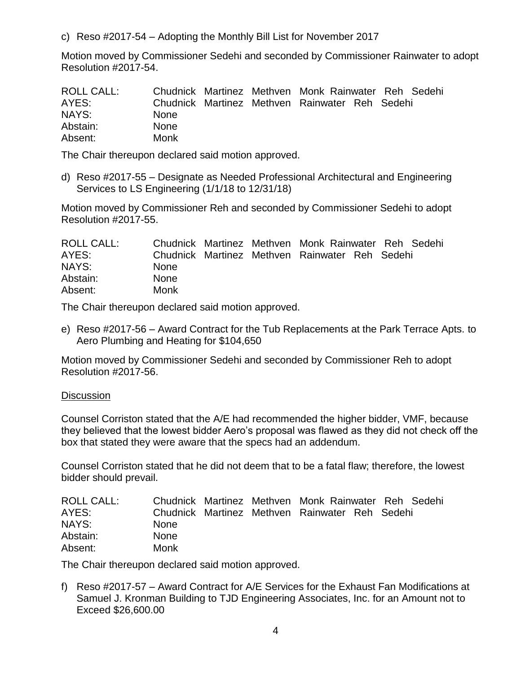c) Reso #2017-54 – Adopting the Monthly Bill List for November 2017

Motion moved by Commissioner Sedehi and seconded by Commissioner Rainwater to adopt Resolution #2017-54.

| ROLL CALL: |             |  | Chudnick Martinez Methven Monk Rainwater Reh Sedehi |  |  |
|------------|-------------|--|-----------------------------------------------------|--|--|
| AYES:      |             |  | Chudnick Martinez Methven Rainwater Reh Sedehi      |  |  |
| NAYS:      | <b>None</b> |  |                                                     |  |  |
| Abstain:   | <b>None</b> |  |                                                     |  |  |
| Absent:    | Monk        |  |                                                     |  |  |

The Chair thereupon declared said motion approved.

d) Reso #2017-55 – Designate as Needed Professional Architectural and Engineering Services to LS Engineering (1/1/18 to 12/31/18)

Motion moved by Commissioner Reh and seconded by Commissioner Sedehi to adopt Resolution #2017-55.

| <b>ROLL CALL:</b> |             |  | Chudnick Martinez Methven Monk Rainwater Reh Sedehi |  |  |
|-------------------|-------------|--|-----------------------------------------------------|--|--|
| AYES:             |             |  | Chudnick Martinez Methven Rainwater Reh Sedehi      |  |  |
| NAYS:             | <b>None</b> |  |                                                     |  |  |
| Abstain:          | <b>None</b> |  |                                                     |  |  |
| Absent:           | Monk        |  |                                                     |  |  |

The Chair thereupon declared said motion approved.

e) Reso #2017-56 – Award Contract for the Tub Replacements at the Park Terrace Apts. to Aero Plumbing and Heating for \$104,650

Motion moved by Commissioner Sedehi and seconded by Commissioner Reh to adopt Resolution #2017-56.

# **Discussion**

Counsel Corriston stated that the A/E had recommended the higher bidder, VMF, because they believed that the lowest bidder Aero's proposal was flawed as they did not check off the box that stated they were aware that the specs had an addendum.

Counsel Corriston stated that he did not deem that to be a fatal flaw; therefore, the lowest bidder should prevail.

| ROLL CALL: |             |  | Chudnick Martinez Methven Monk Rainwater Reh Sedehi |  |  |
|------------|-------------|--|-----------------------------------------------------|--|--|
| AYES:      |             |  | Chudnick Martinez Methven Rainwater Reh Sedehi      |  |  |
| NAYS:      | <b>None</b> |  |                                                     |  |  |
| Abstain:   | <b>None</b> |  |                                                     |  |  |
| Absent:    | Monk        |  |                                                     |  |  |

The Chair thereupon declared said motion approved.

f) Reso #2017-57 – Award Contract for A/E Services for the Exhaust Fan Modifications at Samuel J. Kronman Building to TJD Engineering Associates, Inc. for an Amount not to Exceed \$26,600.00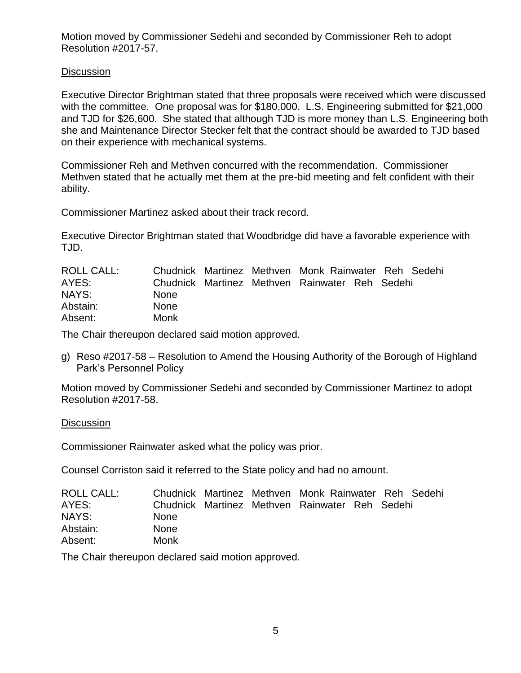Motion moved by Commissioner Sedehi and seconded by Commissioner Reh to adopt Resolution #2017-57.

# **Discussion**

Executive Director Brightman stated that three proposals were received which were discussed with the committee. One proposal was for \$180,000. L.S. Engineering submitted for \$21,000 and TJD for \$26,600. She stated that although TJD is more money than L.S. Engineering both she and Maintenance Director Stecker felt that the contract should be awarded to TJD based on their experience with mechanical systems.

Commissioner Reh and Methven concurred with the recommendation. Commissioner Methven stated that he actually met them at the pre-bid meeting and felt confident with their ability.

Commissioner Martinez asked about their track record.

Executive Director Brightman stated that Woodbridge did have a favorable experience with TJD.

| <b>ROLL CALL:</b> |             |  | Chudnick Martinez Methven Monk Rainwater Reh Sedehi |  |  |
|-------------------|-------------|--|-----------------------------------------------------|--|--|
| AYES:             |             |  | Chudnick Martinez Methven Rainwater Reh Sedehi      |  |  |
| NAYS:             | <b>None</b> |  |                                                     |  |  |
| Abstain:          | <b>None</b> |  |                                                     |  |  |
| Absent:           | Monk        |  |                                                     |  |  |

The Chair thereupon declared said motion approved.

g) Reso #2017-58 – Resolution to Amend the Housing Authority of the Borough of Highland Park's Personnel Policy

Motion moved by Commissioner Sedehi and seconded by Commissioner Martinez to adopt Resolution #2017-58.

# **Discussion**

Commissioner Rainwater asked what the policy was prior.

Counsel Corriston said it referred to the State policy and had no amount.

| ROLL CALL: |             |  | Chudnick Martinez Methven Monk Rainwater Reh Sedehi |  |  |
|------------|-------------|--|-----------------------------------------------------|--|--|
| AYES:      |             |  | Chudnick Martinez Methven Rainwater Reh Sedehi      |  |  |
| NAYS:      | <b>None</b> |  |                                                     |  |  |
| Abstain:   | <b>None</b> |  |                                                     |  |  |
| Absent:    | Monk        |  |                                                     |  |  |

The Chair thereupon declared said motion approved.